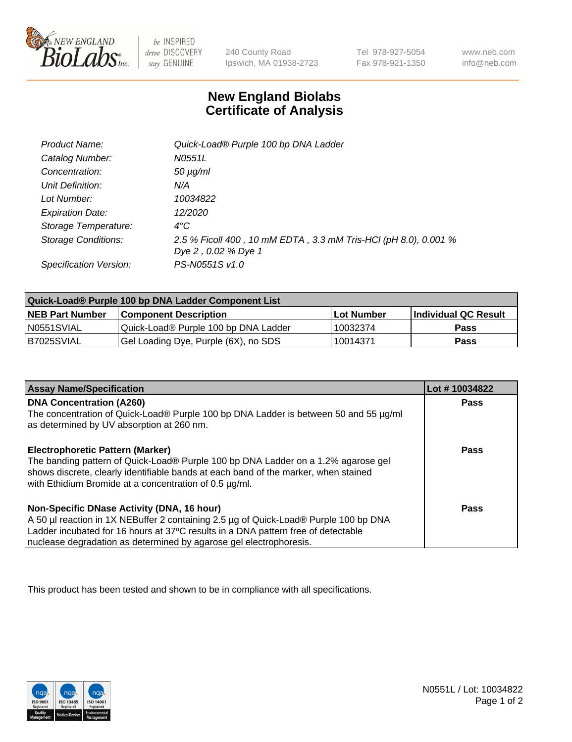

 $be$  INSPIRED drive DISCOVERY stay GENUINE

240 County Road Ipswich, MA 01938-2723 Tel 978-927-5054 Fax 978-921-1350

www.neb.com info@neb.com

## **New England Biolabs Certificate of Analysis**

| Product Name:           | Quick-Load® Purple 100 bp DNA Ladder                            |
|-------------------------|-----------------------------------------------------------------|
| Catalog Number:         | N0551L                                                          |
| Concentration:          | $50 \mu g/ml$                                                   |
| Unit Definition:        | N/A                                                             |
| Lot Number:             | 10034822                                                        |
| <b>Expiration Date:</b> | 12/2020                                                         |
| Storage Temperature:    | $4^{\circ}$ C                                                   |
| Storage Conditions:     | 2.5 % Ficoll 400, 10 mM EDTA, 3.3 mM Tris-HCl (pH 8.0), 0.001 % |
|                         | Dye 2, 0.02 % Dye 1                                             |
| Specification Version:  | PS-N0551S v1.0                                                  |

| Quick-Load® Purple 100 bp DNA Ladder Component List |                                      |              |                      |  |
|-----------------------------------------------------|--------------------------------------|--------------|----------------------|--|
| <b>NEB Part Number</b>                              | <b>Component Description</b>         | l Lot Number | Individual QC Result |  |
| N0551SVIAL                                          | Quick-Load® Purple 100 bp DNA Ladder | 10032374     | <b>Pass</b>          |  |
| I B7025SVIAL                                        | Gel Loading Dye, Purple (6X), no SDS | 10014371     | <b>Pass</b>          |  |

| <b>Assay Name/Specification</b>                                                                                                                                                                                                                                                               | Lot #10034822 |
|-----------------------------------------------------------------------------------------------------------------------------------------------------------------------------------------------------------------------------------------------------------------------------------------------|---------------|
| <b>DNA Concentration (A260)</b><br>The concentration of Quick-Load® Purple 100 bp DNA Ladder is between 50 and 55 µg/ml<br>as determined by UV absorption at 260 nm.                                                                                                                          | <b>Pass</b>   |
| <b>Electrophoretic Pattern (Marker)</b><br>The banding pattern of Quick-Load® Purple 100 bp DNA Ladder on a 1.2% agarose gel<br>shows discrete, clearly identifiable bands at each band of the marker, when stained<br>with Ethidium Bromide at a concentration of 0.5 µg/ml.                 | <b>Pass</b>   |
| Non-Specific DNase Activity (DNA, 16 hour)<br>A 50 µl reaction in 1X NEBuffer 2 containing 2.5 µg of Quick-Load® Purple 100 bp DNA<br>Ladder incubated for 16 hours at 37°C results in a DNA pattern free of detectable<br>nuclease degradation as determined by agarose gel electrophoresis. | Pass          |

This product has been tested and shown to be in compliance with all specifications.